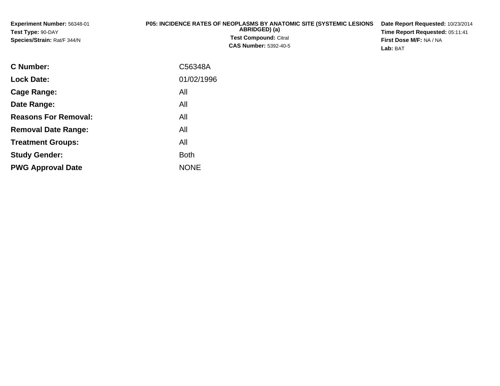| <b>Experiment Number: 56348-01</b><br>Test Type: 90-DAY<br>Species/Strain: Rat/F 344/N | <b>P05: INCIDENCE RATES OF NEOPLASMS BY ANATOMIC SITE (SYSTEMIC LESIONS)</b><br>ABRIDGED) (a)<br><b>Test Compound: Citral</b><br><b>CAS Number: 5392-40-5</b> | Date Report Requested: 10/23/2014<br>Time Report Requested: 05:11:41<br>First Dose M/F: NA / NA<br>Lab: BAT |
|----------------------------------------------------------------------------------------|---------------------------------------------------------------------------------------------------------------------------------------------------------------|-------------------------------------------------------------------------------------------------------------|
| $\sim$ $\sim$ $\sim$ $\sim$                                                            | $\sim$ $\sim$ $\sim$ $\sim$ $\sim$                                                                                                                            |                                                                                                             |

| <b>C</b> Number:            | C56348A     |
|-----------------------------|-------------|
| <b>Lock Date:</b>           | 01/02/1996  |
| Cage Range:                 | All         |
| Date Range:                 | All         |
| <b>Reasons For Removal:</b> | All         |
| <b>Removal Date Range:</b>  | All         |
| <b>Treatment Groups:</b>    | All         |
| <b>Study Gender:</b>        | <b>Both</b> |
| <b>PWG Approval Date</b>    | <b>NONE</b> |
|                             |             |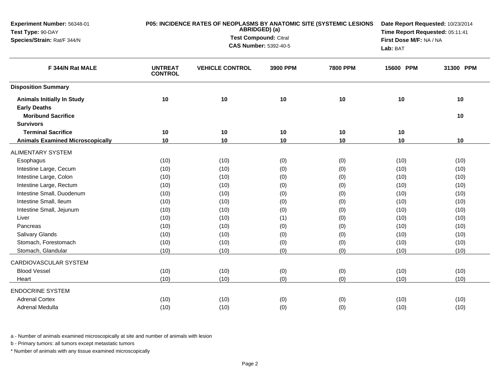| Experiment Number: 56348-01<br>Test Type: 90-DAY |                                  | P05: INCIDENCE RATES OF NEOPLASMS BY ANATOMIC SITE (SYSTEMIC LESIONS<br>ABRIDGED) (a) | Date Report Requested: 10/23/2014<br>Time Report Requested: 05:11:41 |                 |                         |           |  |
|--------------------------------------------------|----------------------------------|---------------------------------------------------------------------------------------|----------------------------------------------------------------------|-----------------|-------------------------|-----------|--|
| Species/Strain: Rat/F 344/N                      |                                  | <b>Test Compound: Citral</b>                                                          |                                                                      |                 | First Dose M/F: NA / NA |           |  |
|                                                  |                                  | <b>CAS Number: 5392-40-5</b>                                                          |                                                                      |                 | Lab: BAT                |           |  |
| F 344/N Rat MALE                                 | <b>UNTREAT</b><br><b>CONTROL</b> | <b>VEHICLE CONTROL</b>                                                                | 3900 PPM                                                             | <b>7800 PPM</b> | 15600 PPM               | 31300 PPM |  |
| <b>Disposition Summary</b>                       |                                  |                                                                                       |                                                                      |                 |                         |           |  |
| <b>Animals Initially In Study</b>                | 10                               | 10                                                                                    | 10                                                                   | 10              | 10                      | 10        |  |
| <b>Early Deaths</b>                              |                                  |                                                                                       |                                                                      |                 |                         |           |  |
| <b>Moribund Sacrifice</b>                        |                                  |                                                                                       |                                                                      |                 |                         | 10        |  |
| <b>Survivors</b>                                 |                                  |                                                                                       |                                                                      |                 |                         |           |  |
| <b>Terminal Sacrifice</b>                        | 10                               | 10                                                                                    | 10                                                                   | 10              | 10                      |           |  |
| <b>Animals Examined Microscopically</b>          | 10                               | 10                                                                                    | 10                                                                   | 10              | 10                      | 10        |  |
| <b>ALIMENTARY SYSTEM</b>                         |                                  |                                                                                       |                                                                      |                 |                         |           |  |
| Esophagus                                        | (10)                             | (10)                                                                                  | (0)                                                                  | (0)             | (10)                    | (10)      |  |
| Intestine Large, Cecum                           | (10)                             | (10)                                                                                  | (0)                                                                  | (0)             | (10)                    | (10)      |  |
| Intestine Large, Colon                           | (10)                             | (10)                                                                                  | (0)                                                                  | (0)             | (10)                    | (10)      |  |
| Intestine Large, Rectum                          | (10)                             | (10)                                                                                  | (0)                                                                  | (0)             | (10)                    | (10)      |  |
| Intestine Small, Duodenum                        | (10)                             | (10)                                                                                  | (0)                                                                  | (0)             | (10)                    | (10)      |  |
| Intestine Small, Ileum                           | (10)                             | (10)                                                                                  | (0)                                                                  | (0)             | (10)                    | (10)      |  |
| Intestine Small, Jejunum                         | (10)                             | (10)                                                                                  | (0)                                                                  | (0)             | (10)                    | (10)      |  |
| Liver                                            | (10)                             | (10)                                                                                  | (1)                                                                  | (0)             | (10)                    | (10)      |  |
| Pancreas                                         | (10)                             | (10)                                                                                  | (0)                                                                  | (0)             | (10)                    | (10)      |  |
| Salivary Glands                                  | (10)                             | (10)                                                                                  | (0)                                                                  | (0)             | (10)                    | (10)      |  |
| Stomach, Forestomach                             | (10)                             | (10)                                                                                  | (0)                                                                  | (0)             | (10)                    | (10)      |  |
| Stomach, Glandular                               | (10)                             | (10)                                                                                  | (0)                                                                  | (0)             | (10)                    | (10)      |  |
| CARDIOVASCULAR SYSTEM                            |                                  |                                                                                       |                                                                      |                 |                         |           |  |
| <b>Blood Vessel</b>                              | (10)                             | (10)                                                                                  | (0)                                                                  | (0)             | (10)                    | (10)      |  |
| Heart                                            | (10)                             | (10)                                                                                  | (0)                                                                  | (0)             | (10)                    | (10)      |  |
| <b>ENDOCRINE SYSTEM</b>                          |                                  |                                                                                       |                                                                      |                 |                         |           |  |
| <b>Adrenal Cortex</b>                            | (10)                             | (10)                                                                                  | (0)                                                                  | (0)             | (10)                    | (10)      |  |
| Adrenal Medulla                                  | (10)                             | (10)                                                                                  | (0)                                                                  | (0)             | (10)                    | (10)      |  |

b - Primary tumors: all tumors except metastatic tumors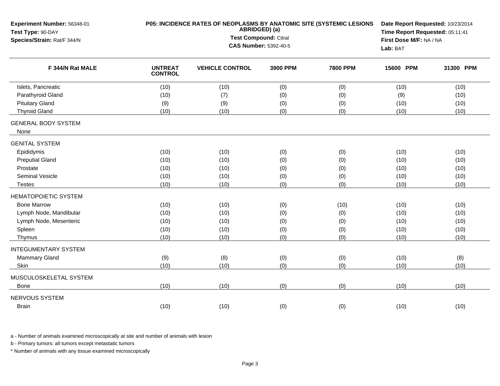| Experiment Number: 56348-01<br>Test Type: 90-DAY | P05: INCIDENCE RATES OF NEOPLASMS BY ANATOMIC SITE (SYSTEMIC LESIONS<br>ABRIDGED) (a)<br>Test Compound: Citral |                              |          |                 |           | Date Report Requested: 10/23/2014<br>Time Report Requested: 05:11:41 |
|--------------------------------------------------|----------------------------------------------------------------------------------------------------------------|------------------------------|----------|-----------------|-----------|----------------------------------------------------------------------|
| Species/Strain: Rat/F 344/N                      |                                                                                                                |                              |          |                 |           | First Dose M/F: NA / NA                                              |
|                                                  |                                                                                                                | <b>CAS Number: 5392-40-5</b> |          |                 | Lab: BAT  |                                                                      |
| F 344/N Rat MALE                                 | <b>UNTREAT</b><br><b>CONTROL</b>                                                                               | <b>VEHICLE CONTROL</b>       | 3900 PPM | <b>7800 PPM</b> | 15600 PPM | 31300 PPM                                                            |
| Islets, Pancreatic                               | (10)                                                                                                           | (10)                         | (0)      | (0)             | (10)      | (10)                                                                 |
| Parathyroid Gland                                | (10)                                                                                                           | (7)                          | (0)      | (0)             | (9)       | (10)                                                                 |
| <b>Pituitary Gland</b>                           | (9)                                                                                                            | (9)                          | (0)      | (0)             | (10)      | (10)                                                                 |
| <b>Thyroid Gland</b>                             | (10)                                                                                                           | (10)                         | (0)      | (0)             | (10)      | (10)                                                                 |
| <b>GENERAL BODY SYSTEM</b><br>None               |                                                                                                                |                              |          |                 |           |                                                                      |
| <b>GENITAL SYSTEM</b>                            |                                                                                                                |                              |          |                 |           |                                                                      |
| Epididymis                                       | (10)                                                                                                           | (10)                         | (0)      | (0)             | (10)      | (10)                                                                 |
| <b>Preputial Gland</b>                           | (10)                                                                                                           | (10)                         | (0)      | (0)             | (10)      | (10)                                                                 |
| Prostate                                         | (10)                                                                                                           | (10)                         | (0)      | (0)             | (10)      | (10)                                                                 |
| Seminal Vesicle                                  | (10)                                                                                                           | (10)                         | (0)      | (0)             | (10)      | (10)                                                                 |
| <b>Testes</b>                                    | (10)                                                                                                           | (10)                         | (0)      | (0)             | (10)      | (10)                                                                 |
| <b>HEMATOPOIETIC SYSTEM</b>                      |                                                                                                                |                              |          |                 |           |                                                                      |
| <b>Bone Marrow</b>                               | (10)                                                                                                           | (10)                         | (0)      | (10)            | (10)      | (10)                                                                 |
| Lymph Node, Mandibular                           | (10)                                                                                                           | (10)                         | (0)      | (0)             | (10)      | (10)                                                                 |
| Lymph Node, Mesenteric                           | (10)                                                                                                           | (10)                         | (0)      | (0)             | (10)      | (10)                                                                 |
| Spleen                                           | (10)                                                                                                           | (10)                         | (0)      | (0)             | (10)      | (10)                                                                 |
| Thymus                                           | (10)                                                                                                           | (10)                         | (0)      | (0)             | (10)      | (10)                                                                 |
| <b>INTEGUMENTARY SYSTEM</b>                      |                                                                                                                |                              |          |                 |           |                                                                      |
| <b>Mammary Gland</b>                             | (9)                                                                                                            | (8)                          | (0)      | (0)             | (10)      | (8)                                                                  |
| Skin                                             | (10)                                                                                                           | (10)                         | (0)      | (0)             | (10)      | (10)                                                                 |
| MUSCULOSKELETAL SYSTEM                           |                                                                                                                |                              |          |                 |           |                                                                      |
| <b>Bone</b>                                      | (10)                                                                                                           | (10)                         | (0)      | (0)             | (10)      | (10)                                                                 |
| NERVOUS SYSTEM                                   |                                                                                                                |                              |          |                 |           |                                                                      |
| <b>Brain</b>                                     | (10)                                                                                                           | (10)                         | (0)      | (0)             | (10)      | (10)                                                                 |

b - Primary tumors: all tumors except metastatic tumors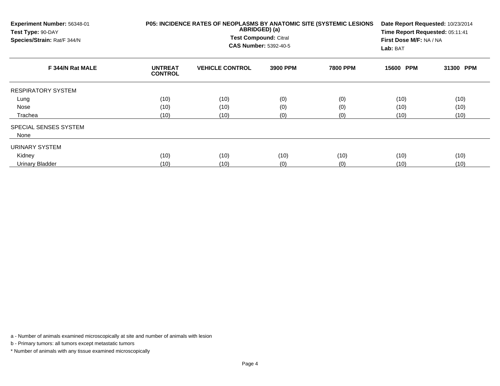| Experiment Number: 56348-01<br>Test Type: 90-DAY<br>Species/Strain: Rat/F 344/N |                                  | P05: INCIDENCE RATES OF NEOPLASMS BY ANATOMIC SITE (SYSTEMIC LESIONS<br>ABRIDGED) (a)<br>Test Compound: Citral<br><b>CAS Number: 5392-40-5</b> | Date Report Requested: 10/23/2014<br>Time Report Requested: 05:11:41<br>First Dose M/F: NA / NA<br>Lab: BAT |                 |           |           |
|---------------------------------------------------------------------------------|----------------------------------|------------------------------------------------------------------------------------------------------------------------------------------------|-------------------------------------------------------------------------------------------------------------|-----------------|-----------|-----------|
| F 344/N Rat MALE                                                                | <b>UNTREAT</b><br><b>CONTROL</b> | <b>VEHICLE CONTROL</b>                                                                                                                         | 3900 PPM                                                                                                    | <b>7800 PPM</b> | 15600 PPM | 31300 PPM |
| <b>RESPIRATORY SYSTEM</b>                                                       |                                  |                                                                                                                                                |                                                                                                             |                 |           |           |
| Lung                                                                            | (10)                             | (10)                                                                                                                                           | (0)                                                                                                         | (0)             | (10)      | (10)      |
| Nose                                                                            | (10)                             | (10)                                                                                                                                           | (0)                                                                                                         | (0)             | (10)      | (10)      |
| Trachea                                                                         | (10)                             | (10)                                                                                                                                           | (0)                                                                                                         | (0)             | (10)      | (10)      |
| SPECIAL SENSES SYSTEM<br>None                                                   |                                  |                                                                                                                                                |                                                                                                             |                 |           |           |
| URINARY SYSTEM                                                                  |                                  |                                                                                                                                                |                                                                                                             |                 |           |           |
| Kidney                                                                          | (10)                             | (10)                                                                                                                                           | (10)                                                                                                        | (10)            | (10)      | (10)      |
| Urinary Bladder                                                                 | (10)                             | (10)                                                                                                                                           | (0)                                                                                                         | (0)             | (10)      | (10)      |

b - Primary tumors: all tumors except metastatic tumors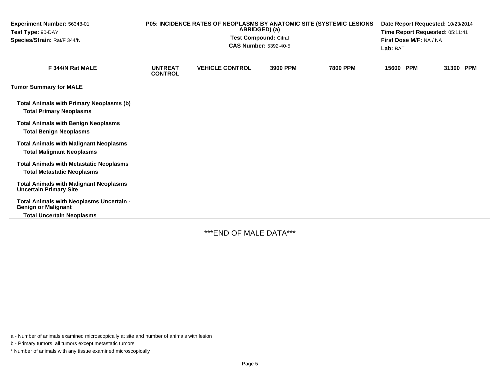| Experiment Number: 56348-01<br>Test Type: 90-DAY<br>Species/Strain: Rat/F 344/N                            | P05: INCIDENCE RATES OF NEOPLASMS BY ANATOMIC SITE (SYSTEMIC LESIONS<br>ABRIDGED) (a)<br><b>Test Compound: Citral</b><br><b>CAS Number: 5392-40-5</b> |                        |          |                 | Date Report Requested: 10/23/2014<br>Time Report Requested: 05:11:41<br>First Dose M/F: NA / NA<br>Lab: BAT |           |  |
|------------------------------------------------------------------------------------------------------------|-------------------------------------------------------------------------------------------------------------------------------------------------------|------------------------|----------|-----------------|-------------------------------------------------------------------------------------------------------------|-----------|--|
| F 344/N Rat MALE                                                                                           | <b>UNTREAT</b><br><b>CONTROL</b>                                                                                                                      | <b>VEHICLE CONTROL</b> | 3900 PPM | <b>7800 PPM</b> | 15600 PPM                                                                                                   | 31300 PPM |  |
| <b>Tumor Summary for MALE</b>                                                                              |                                                                                                                                                       |                        |          |                 |                                                                                                             |           |  |
| <b>Total Animals with Primary Neoplasms (b)</b><br><b>Total Primary Neoplasms</b>                          |                                                                                                                                                       |                        |          |                 |                                                                                                             |           |  |
| <b>Total Animals with Benign Neoplasms</b><br><b>Total Benign Neoplasms</b>                                |                                                                                                                                                       |                        |          |                 |                                                                                                             |           |  |
| <b>Total Animals with Malignant Neoplasms</b><br><b>Total Malignant Neoplasms</b>                          |                                                                                                                                                       |                        |          |                 |                                                                                                             |           |  |
| <b>Total Animals with Metastatic Neoplasms</b><br><b>Total Metastatic Neoplasms</b>                        |                                                                                                                                                       |                        |          |                 |                                                                                                             |           |  |
| <b>Total Animals with Malignant Neoplasms</b><br><b>Uncertain Primary Site</b>                             |                                                                                                                                                       |                        |          |                 |                                                                                                             |           |  |
| Total Animals with Neoplasms Uncertain -<br><b>Benign or Malignant</b><br><b>Total Uncertain Neoplasms</b> |                                                                                                                                                       |                        |          |                 |                                                                                                             |           |  |

\*\*\*END OF MALE DATA\*\*\*

a - Number of animals examined microscopically at site and number of animals with lesion

b - Primary tumors: all tumors except metastatic tumors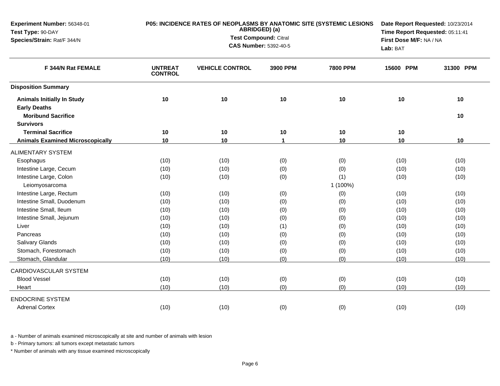| Experiment Number: 56348-01<br>Test Type: 90-DAY         |                                  | P05: INCIDENCE RATES OF NEOPLASMS BY ANATOMIC SITE (SYSTEMIC LESIONS<br>ABRIDGED) (a) | Date Report Requested: 10/23/2014<br>Time Report Requested: 05:11:41 |                 |           |           |
|----------------------------------------------------------|----------------------------------|---------------------------------------------------------------------------------------|----------------------------------------------------------------------|-----------------|-----------|-----------|
| Species/Strain: Rat/F 344/N                              |                                  | Test Compound: Citral                                                                 | First Dose M/F: NA / NA                                              |                 |           |           |
|                                                          |                                  |                                                                                       | <b>CAS Number: 5392-40-5</b>                                         |                 | Lab: BAT  |           |
| F 344/N Rat FEMALE                                       | <b>UNTREAT</b><br><b>CONTROL</b> | <b>VEHICLE CONTROL</b>                                                                | 3900 PPM                                                             | <b>7800 PPM</b> | 15600 PPM | 31300 PPM |
| <b>Disposition Summary</b>                               |                                  |                                                                                       |                                                                      |                 |           |           |
| <b>Animals Initially In Study</b><br><b>Early Deaths</b> | 10                               | 10                                                                                    | 10                                                                   | 10              | 10        | 10        |
| <b>Moribund Sacrifice</b>                                |                                  |                                                                                       |                                                                      |                 |           | 10        |
| <b>Survivors</b>                                         |                                  |                                                                                       |                                                                      |                 |           |           |
| <b>Terminal Sacrifice</b>                                | 10                               | 10                                                                                    | 10                                                                   | 10              | 10        |           |
| <b>Animals Examined Microscopically</b>                  | 10                               | 10                                                                                    | 1                                                                    | 10              | 10        | 10        |
| <b>ALIMENTARY SYSTEM</b>                                 |                                  |                                                                                       |                                                                      |                 |           |           |
| Esophagus                                                | (10)                             | (10)                                                                                  | (0)                                                                  | (0)             | (10)      | (10)      |
| Intestine Large, Cecum                                   | (10)                             | (10)                                                                                  | (0)                                                                  | (0)             | (10)      | (10)      |
| Intestine Large, Colon                                   | (10)                             | (10)                                                                                  | (0)                                                                  | (1)             | (10)      | (10)      |
| Leiomyosarcoma                                           |                                  |                                                                                       |                                                                      | 1 (100%)        |           |           |
| Intestine Large, Rectum                                  | (10)                             | (10)                                                                                  | (0)                                                                  | (0)             | (10)      | (10)      |
| Intestine Small, Duodenum                                | (10)                             | (10)                                                                                  | (0)                                                                  | (0)             | (10)      | (10)      |
| Intestine Small, Ileum                                   | (10)                             | (10)                                                                                  | (0)                                                                  | (0)             | (10)      | (10)      |
| Intestine Small, Jejunum                                 | (10)                             | (10)                                                                                  | (0)                                                                  | (0)             | (10)      | (10)      |
| Liver                                                    | (10)                             | (10)                                                                                  | (1)                                                                  | (0)             | (10)      | (10)      |
| Pancreas                                                 | (10)                             | (10)                                                                                  | (0)                                                                  | (0)             | (10)      | (10)      |
| <b>Salivary Glands</b>                                   | (10)                             | (10)                                                                                  | (0)                                                                  | (0)             | (10)      | (10)      |
| Stomach, Forestomach                                     | (10)                             | (10)                                                                                  | (0)                                                                  | (0)             | (10)      | (10)      |
| Stomach, Glandular                                       | (10)                             | (10)                                                                                  | (0)                                                                  | (0)             | (10)      | (10)      |
| CARDIOVASCULAR SYSTEM                                    |                                  |                                                                                       |                                                                      |                 |           |           |
| <b>Blood Vessel</b>                                      | (10)                             | (10)                                                                                  | (0)                                                                  | (0)             | (10)      | (10)      |
| Heart                                                    | (10)                             | (10)                                                                                  | (0)                                                                  | (0)             | (10)      | (10)      |
| <b>ENDOCRINE SYSTEM</b>                                  |                                  |                                                                                       |                                                                      |                 |           |           |
| <b>Adrenal Cortex</b>                                    | (10)                             | (10)                                                                                  | (0)                                                                  | (0)             | (10)      | (10)      |

b - Primary tumors: all tumors except metastatic tumors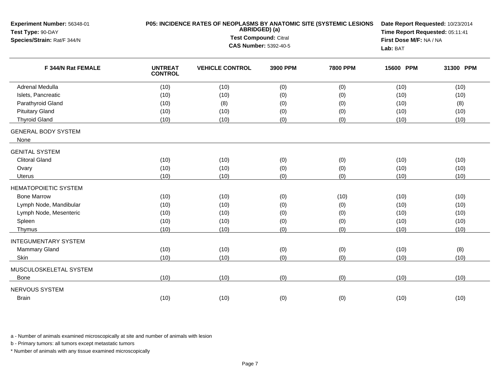| Experiment Number: 56348-01<br>Test Type: 90-DAY<br>Species/Strain: Rat/F 344/N | P05: INCIDENCE RATES OF NEOPLASMS BY ANATOMIC SITE (SYSTEMIC LESIONS<br>ABRIDGED) (a)<br>Test Compound: Citral<br><b>CAS Number: 5392-40-5</b> |                        |          |                 | Date Report Requested: 10/23/2014<br>Time Report Requested: 05:11:41<br>First Dose M/F: NA / NA<br>Lab: BAT |           |
|---------------------------------------------------------------------------------|------------------------------------------------------------------------------------------------------------------------------------------------|------------------------|----------|-----------------|-------------------------------------------------------------------------------------------------------------|-----------|
| F 344/N Rat FEMALE                                                              | <b>UNTREAT</b><br><b>CONTROL</b>                                                                                                               | <b>VEHICLE CONTROL</b> | 3900 PPM | <b>7800 PPM</b> | 15600 PPM                                                                                                   | 31300 PPM |
| Adrenal Medulla                                                                 | (10)                                                                                                                                           | (10)                   | (0)      | (0)             | (10)                                                                                                        | (10)      |
| Islets, Pancreatic                                                              | (10)                                                                                                                                           | (10)                   | (0)      | (0)             | (10)                                                                                                        | (10)      |
| Parathyroid Gland                                                               | (10)                                                                                                                                           | (8)                    | (0)      | (0)             | (10)                                                                                                        | (8)       |
| <b>Pituitary Gland</b>                                                          | (10)                                                                                                                                           | (10)                   | (0)      | (0)             | (10)                                                                                                        | (10)      |
| <b>Thyroid Gland</b>                                                            | (10)                                                                                                                                           | (10)                   | (0)      | (0)             | (10)                                                                                                        | (10)      |
| <b>GENERAL BODY SYSTEM</b><br>None                                              |                                                                                                                                                |                        |          |                 |                                                                                                             |           |
| <b>GENITAL SYSTEM</b>                                                           |                                                                                                                                                |                        |          |                 |                                                                                                             |           |
| <b>Clitoral Gland</b>                                                           | (10)                                                                                                                                           | (10)                   | (0)      | (0)             | (10)                                                                                                        | (10)      |
| Ovary                                                                           | (10)                                                                                                                                           | (10)                   | (0)      | (0)             | (10)                                                                                                        | (10)      |
| <b>Uterus</b>                                                                   | (10)                                                                                                                                           | (10)                   | (0)      | (0)             | (10)                                                                                                        | (10)      |
| <b>HEMATOPOIETIC SYSTEM</b>                                                     |                                                                                                                                                |                        |          |                 |                                                                                                             |           |
| <b>Bone Marrow</b>                                                              | (10)                                                                                                                                           | (10)                   | (0)      | (10)            | (10)                                                                                                        | (10)      |
| Lymph Node, Mandibular                                                          | (10)                                                                                                                                           | (10)                   | (0)      | (0)             | (10)                                                                                                        | (10)      |
| Lymph Node, Mesenteric                                                          | (10)                                                                                                                                           | (10)                   | (0)      | (0)             | (10)                                                                                                        | (10)      |
| Spleen                                                                          | (10)                                                                                                                                           | (10)                   | (0)      | (0)             | (10)                                                                                                        | (10)      |
| Thymus                                                                          | (10)                                                                                                                                           | (10)                   | (0)      | (0)             | (10)                                                                                                        | (10)      |
| <b>INTEGUMENTARY SYSTEM</b>                                                     |                                                                                                                                                |                        |          |                 |                                                                                                             |           |
| Mammary Gland                                                                   | (10)                                                                                                                                           | (10)                   | (0)      | (0)             | (10)                                                                                                        | (8)       |
| Skin                                                                            | (10)                                                                                                                                           | (10)                   | (0)      | (0)             | (10)                                                                                                        | (10)      |
| MUSCULOSKELETAL SYSTEM                                                          |                                                                                                                                                |                        |          |                 |                                                                                                             |           |
| Bone                                                                            | (10)                                                                                                                                           | (10)                   | (0)      | (0)             | (10)                                                                                                        | (10)      |
| <b>NERVOUS SYSTEM</b>                                                           |                                                                                                                                                |                        |          |                 |                                                                                                             |           |
| <b>Brain</b>                                                                    | (10)                                                                                                                                           | (10)                   | (0)      | (0)             | (10)                                                                                                        | (10)      |

b - Primary tumors: all tumors except metastatic tumors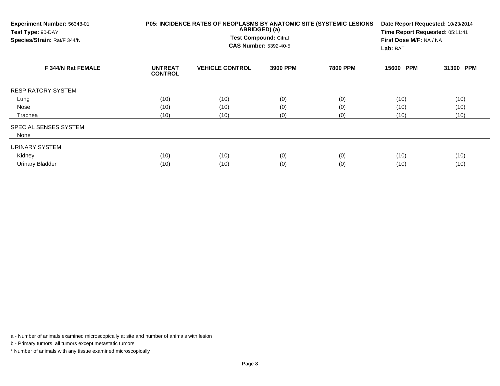| Experiment Number: 56348-01<br>Test Type: 90-DAY<br>Species/Strain: Rat/F 344/N<br>F 344/N Rat FEMALE |                                  | P05: INCIDENCE RATES OF NEOPLASMS BY ANATOMIC SITE (SYSTEMIC LESIONS<br>ABRIDGED) (a)<br>Test Compound: Citral<br><b>CAS Number: 5392-40-5</b> | Date Report Requested: 10/23/2014<br>Time Report Requested: 05:11:41<br>First Dose M/F: NA / NA<br>Lab: BAT |                 |           |           |
|-------------------------------------------------------------------------------------------------------|----------------------------------|------------------------------------------------------------------------------------------------------------------------------------------------|-------------------------------------------------------------------------------------------------------------|-----------------|-----------|-----------|
|                                                                                                       | <b>UNTREAT</b><br><b>CONTROL</b> | <b>VEHICLE CONTROL</b>                                                                                                                         | 3900 PPM                                                                                                    | <b>7800 PPM</b> | 15600 PPM | 31300 PPM |
| <b>RESPIRATORY SYSTEM</b>                                                                             |                                  |                                                                                                                                                |                                                                                                             |                 |           |           |
| Lung                                                                                                  | (10)                             | (10)                                                                                                                                           | (0)                                                                                                         | (0)             | (10)      | (10)      |
| Nose                                                                                                  | (10)                             | (10)                                                                                                                                           | (0)                                                                                                         | (0)             | (10)      | (10)      |
| Trachea                                                                                               | (10)                             | (10)                                                                                                                                           | (0)                                                                                                         | (0)             | (10)      | (10)      |
| SPECIAL SENSES SYSTEM                                                                                 |                                  |                                                                                                                                                |                                                                                                             |                 |           |           |
| None                                                                                                  |                                  |                                                                                                                                                |                                                                                                             |                 |           |           |
| URINARY SYSTEM                                                                                        |                                  |                                                                                                                                                |                                                                                                             |                 |           |           |
| Kidney                                                                                                | (10)                             | (10)                                                                                                                                           | (0)                                                                                                         | (0)             | (10)      | (10)      |
| Urinary Bladder                                                                                       | (10)                             | (10)                                                                                                                                           | (0)                                                                                                         | (0)             | (10)      | (10)      |

b - Primary tumors: all tumors except metastatic tumors